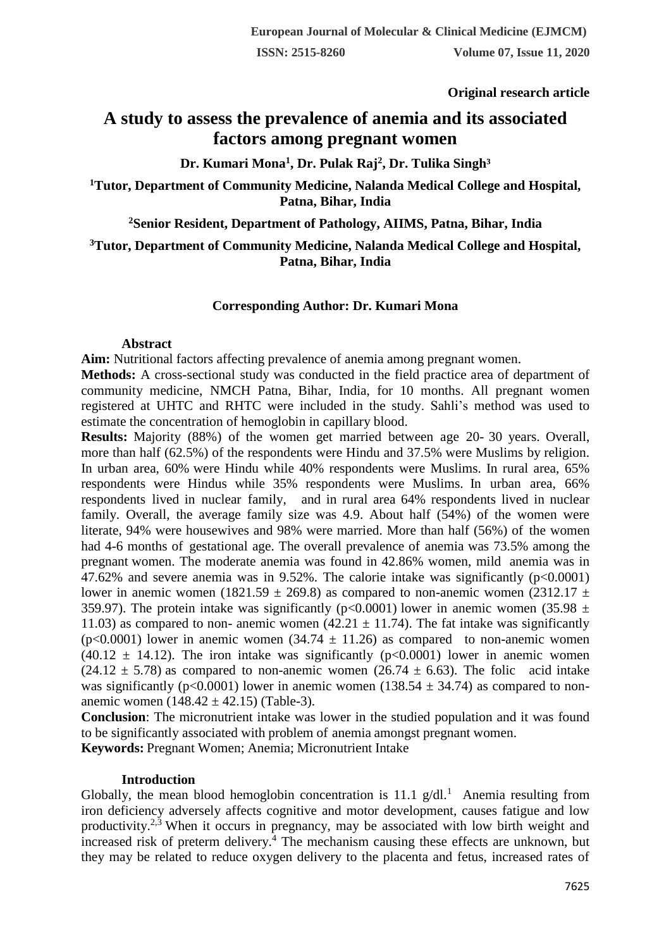**Original research article** 

# **A study to assess the prevalence of anemia and its associated factors among pregnant women**

**Dr. Kumari Mona<sup>1</sup> , Dr. Pulak Raj<sup>2</sup> , Dr. Tulika Singh³**

**<sup>1</sup>Tutor, Department of Community Medicine, Nalanda Medical College and Hospital, Patna, Bihar, India**

**<sup>2</sup>Senior Resident, Department of Pathology, AIIMS, Patna, Bihar, India**

**<sup>3</sup>Tutor, Department of Community Medicine, Nalanda Medical College and Hospital, Patna, Bihar, India**

## **Corresponding Author: Dr. Kumari Mona**

### **Abstract**

**Aim:** Nutritional factors affecting prevalence of anemia among pregnant women.

**Methods:** A cross-sectional study was conducted in the field practice area of department of community medicine, NMCH Patna, Bihar, India, for 10 months. All pregnant women registered at UHTC and RHTC were included in the study. Sahli's method was used to estimate the concentration of hemoglobin in capillary blood.

**Results:** Majority (88%) of the women get married between age 20- 30 years. Overall, more than half (62.5%) of the respondents were Hindu and 37.5% were Muslims by religion. In urban area, 60% were Hindu while 40% respondents were Muslims. In rural area, 65% respondents were Hindus while 35% respondents were Muslims. In urban area, 66% respondents lived in nuclear family, and in rural area 64% respondents lived in nuclear family. Overall, the average family size was 4.9. About half (54%) of the women were literate, 94% were housewives and 98% were married. More than half (56%) of the women had 4-6 months of gestational age. The overall prevalence of anemia was 73.5% among the pregnant women. The moderate anemia was found in 42.86% women, mild anemia was in 47.62% and severe anemia was in 9.52%. The calorie intake was significantly (p<0.0001) lower in anemic women (1821.59  $\pm$  269.8) as compared to non-anemic women (2312.17  $\pm$ 359.97). The protein intake was significantly (p<0.0001) lower in anemic women (35.98  $\pm$ 11.03) as compared to non- anemic women (42.21  $\pm$  11.74). The fat intake was significantly (p<0.0001) lower in anemic women  $(34.74 \pm 11.26)$  as compared to non-anemic women (40.12  $\pm$  14.12). The iron intake was significantly (p<0.0001) lower in anemic women  $(24.12 \pm 5.78)$  as compared to non-anemic women  $(26.74 \pm 6.63)$ . The folic acid intake was significantly (p<0.0001) lower in anemic women (138.54  $\pm$  34.74) as compared to nonanemic women  $(148.42 \pm 42.15)$  (Table-3).

**Conclusion**: The micronutrient intake was lower in the studied population and it was found to be significantly associated with problem of anemia amongst pregnant women.

**Keywords:** Pregnant Women; Anemia; Micronutrient Intake

### **Introduction**

Globally, the mean blood hemoglobin concentration is  $11.1$  g/dl.<sup>1</sup> Anemia resulting from iron deficiency adversely affects cognitive and motor development, causes fatigue and low productivity.<sup>2,3</sup> When it occurs in pregnancy, may be associated with low birth weight and increased risk of preterm delivery.<sup>4</sup> The mechanism causing these effects are unknown, but they may be related to reduce oxygen delivery to the placenta and fetus, increased rates of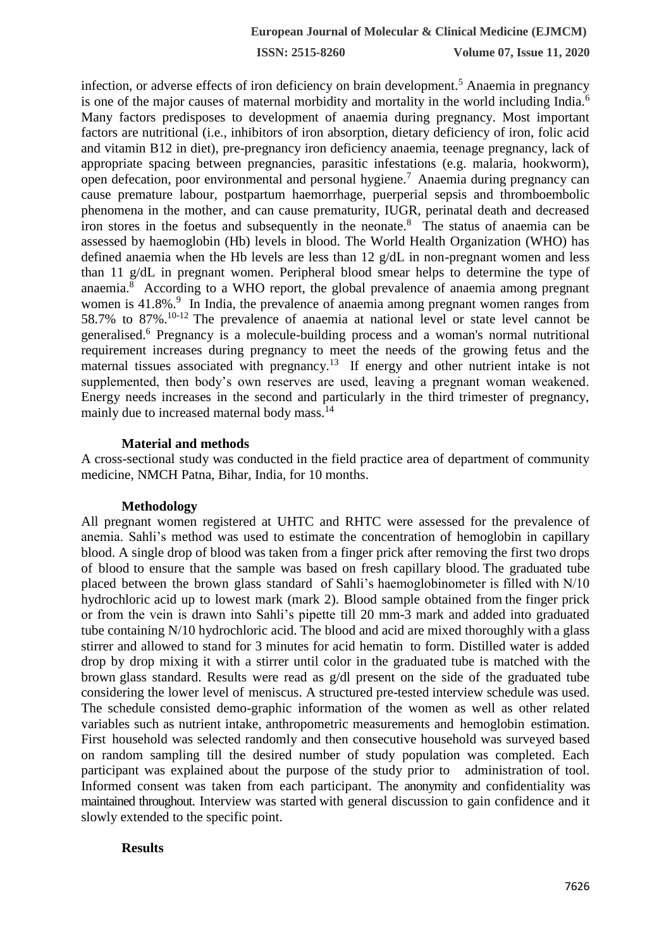**ISSN: 2515-8260 Volume 07, Issue 11, 2020**

infection, or adverse effects of iron deficiency on brain development.<sup>5</sup> Anaemia in pregnancy is one of the major causes of maternal morbidity and mortality in the world including India.<sup>6</sup> Many factors predisposes to development of anaemia during pregnancy. Most important factors are nutritional (i.e., inhibitors of iron absorption, dietary deficiency of iron, folic acid and vitamin B12 in diet), pre-pregnancy iron deficiency anaemia, teenage pregnancy, lack of appropriate spacing between pregnancies, parasitic infestations (e.g. malaria, hookworm), open defecation, poor environmental and personal hygiene.<sup>7</sup> Anaemia during pregnancy can cause premature labour, postpartum haemorrhage, puerperial sepsis and thromboembolic phenomena in the mother, and can cause prematurity, IUGR, perinatal death and decreased iron stores in the foetus and subsequently in the neonate.<sup>8</sup> The status of anaemia can be assessed by haemoglobin (Hb) levels in blood. The World Health Organization (WHO) has defined anaemia when the Hb levels are less than 12 g/dL in non-pregnant women and less than 11 g/dL in pregnant women. Peripheral blood smear helps to determine the type of anaemia.<sup>8</sup> According to a WHO report, the global prevalence of anaemia among pregnant women is 41.8%.<sup>9</sup> In India, the prevalence of anaemia among pregnant women ranges from 58.7% to 87%.10-12 The prevalence of anaemia at national level or state level cannot be generalised.<sup>6</sup> Pregnancy is a molecule-building process and a woman's normal nutritional requirement increases during pregnancy to meet the needs of the growing fetus and the maternal tissues associated with pregnancy.<sup>13</sup> If energy and other nutrient intake is not supplemented, then body's own reserves are used, leaving a pregnant woman weakened. Energy needs increases in the second and particularly in the third trimester of pregnancy, mainly due to increased maternal body mass.<sup>14</sup>

### **Material and methods**

A cross-sectional study was conducted in the field practice area of department of community medicine, NMCH Patna, Bihar, India, for 10 months.

### **Methodology**

All pregnant women registered at UHTC and RHTC were assessed for the prevalence of anemia. Sahli's method was used to estimate the concentration of hemoglobin in capillary blood. A single drop of blood was taken from a finger prick after removing the first two drops of blood to ensure that the sample was based on fresh capillary blood. The graduated tube placed between the brown glass standard of Sahli's haemoglobinometer is filled with N/10 hydrochloric acid up to lowest mark (mark 2). Blood sample obtained from the finger prick or from the vein is drawn into Sahli's pipette till 20 mm-3 mark and added into graduated tube containing N/10 hydrochloric acid. The blood and acid are mixed thoroughly with a glass stirrer and allowed to stand for 3 minutes for acid hematin to form. Distilled water is added drop by drop mixing it with a stirrer until color in the graduated tube is matched with the brown glass standard. Results were read as g/dl present on the side of the graduated tube considering the lower level of meniscus. A structured pre-tested interview schedule was used. The schedule consisted demo-graphic information of the women as well as other related variables such as nutrient intake, anthropometric measurements and hemoglobin estimation. First household was selected randomly and then consecutive household was surveyed based on random sampling till the desired number of study population was completed. Each participant was explained about the purpose of the study prior to administration of tool. Informed consent was taken from each participant. The anonymity and confidentiality was maintained throughout. Interview was started with general discussion to gain confidence and it slowly extended to the specific point.

## **Results**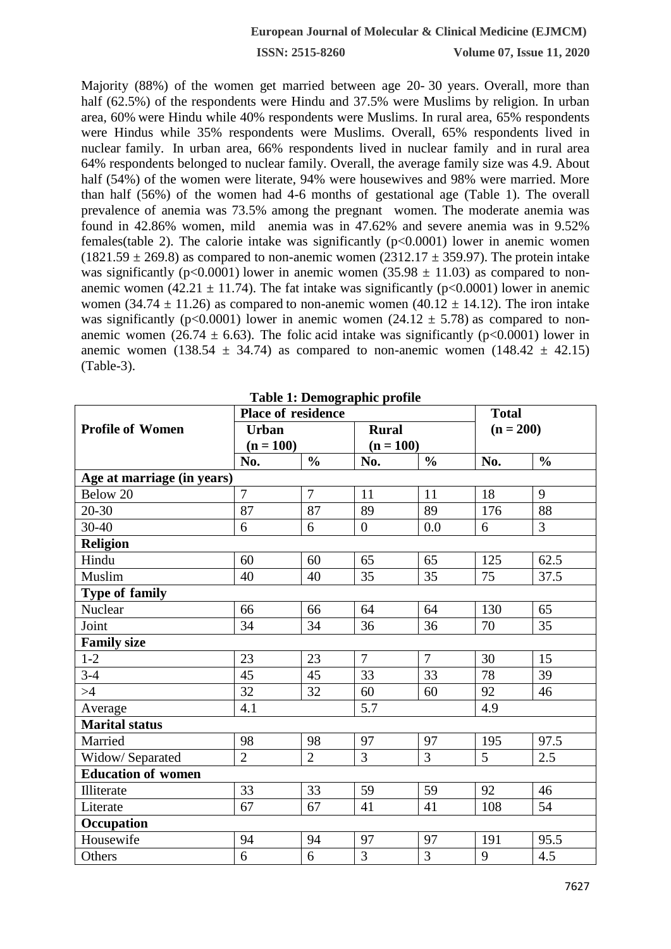**ISSN: 2515-8260 Volume 07, Issue 11, 2020**

Majority (88%) of the women get married between age 20- 30 years. Overall, more than half (62.5%) of the respondents were Hindu and 37.5% were Muslims by religion. In urban area, 60% were Hindu while 40% respondents were Muslims. In rural area, 65% respondents were Hindus while 35% respondents were Muslims. Overall, 65% respondents lived in nuclear family. In urban area, 66% respondents lived in nuclear family and in rural area 64% respondents belonged to nuclear family. Overall, the average family size was 4.9. About half (54%) of the women were literate, 94% were housewives and 98% were married. More than half (56%) of the women had 4-6 months of gestational age (Table 1). The overall prevalence of anemia was 73.5% among the pregnant women. The moderate anemia was found in 42.86% women, mild anemia was in 47.62% and severe anemia was in 9.52% females(table 2). The calorie intake was significantly  $(p<0.0001)$  lower in anemic women  $(1821.59 \pm 269.8)$  as compared to non-anemic women  $(2312.17 \pm 359.97)$ . The protein intake was significantly (p<0.0001) lower in anemic women (35.98  $\pm$  11.03) as compared to nonanemic women (42.21  $\pm$  11.74). The fat intake was significantly (p<0.0001) lower in anemic women (34.74  $\pm$  11.26) as compared to non-anemic women (40.12  $\pm$  14.12). The iron intake was significantly (p<0.0001) lower in anemic women (24.12  $\pm$  5.78) as compared to nonanemic women (26.74  $\pm$  6.63). The folic acid intake was significantly (p<0.0001) lower in anemic women (138.54  $\pm$  34.74) as compared to non-anemic women (148.42  $\pm$  42.15) (Table-3).

|                            | <b>Place of residence</b> |                |                |                | <b>Total</b> |                |  |
|----------------------------|---------------------------|----------------|----------------|----------------|--------------|----------------|--|
| <b>Profile of Women</b>    | <b>Urban</b>              |                | <b>Rural</b>   |                | $(n = 200)$  |                |  |
|                            | $(n = 100)$               |                | $(n = 100)$    |                |              |                |  |
|                            | No.                       | $\frac{0}{0}$  | No.            | $\frac{0}{0}$  | No.          | $\frac{0}{0}$  |  |
| Age at marriage (in years) |                           |                |                |                |              |                |  |
| Below 20                   | $\overline{7}$            | $\overline{7}$ | 11             | 11             | 18           | 9              |  |
| 20-30                      | 87                        | 87             | 89             | 89             | 176          | 88             |  |
| 30-40                      | 6                         | 6              | $\overline{0}$ | 0.0            | 6            | $\overline{3}$ |  |
| <b>Religion</b>            |                           |                |                |                |              |                |  |
| Hindu                      | 60                        | 60             | 65             | 65             | 125          | 62.5           |  |
| Muslim                     | 40                        | 40             | 35             | 35             | 75           | 37.5           |  |
| <b>Type of family</b>      |                           |                |                |                |              |                |  |
| Nuclear                    | 66                        | 66             | 64             | 64             | 130          | 65             |  |
| Joint                      | 34                        | 34             | 36             | 36             | 70           | 35             |  |
| <b>Family size</b>         |                           |                |                |                |              |                |  |
| $1-2$                      | 23                        | 23             | $\overline{7}$ | $\overline{7}$ | 30           | 15             |  |
| $3-4$                      | 45                        | 45             | 33             | 33             | 78           | 39             |  |
| >4                         | 32                        | 32             | 60             | 60             | 92           | 46             |  |
| Average                    | 4.1                       |                | 5.7            |                | 4.9          |                |  |
| <b>Marital status</b>      |                           |                |                |                |              |                |  |
| Married                    | 98                        | 98             | 97             | 97             | 195          | 97.5           |  |
| Widow/ Separated           | $\overline{2}$            | $\overline{2}$ | $\overline{3}$ | $\overline{3}$ | 5            | 2.5            |  |
| <b>Education of women</b>  |                           |                |                |                |              |                |  |
| Illiterate                 | 33                        | 33             | 59             | 59             | 92           | 46             |  |
| Literate                   | 67                        | 67             | 41             | 41             | 108          | 54             |  |
| Occupation                 |                           |                |                |                |              |                |  |
| Housewife                  | 94                        | 94             | 97             | 97             | 191          | 95.5           |  |
| Others                     | 6                         | 6              | $\overline{3}$ | $\overline{3}$ | 9            | 4.5            |  |

**Table 1: Demographic profile**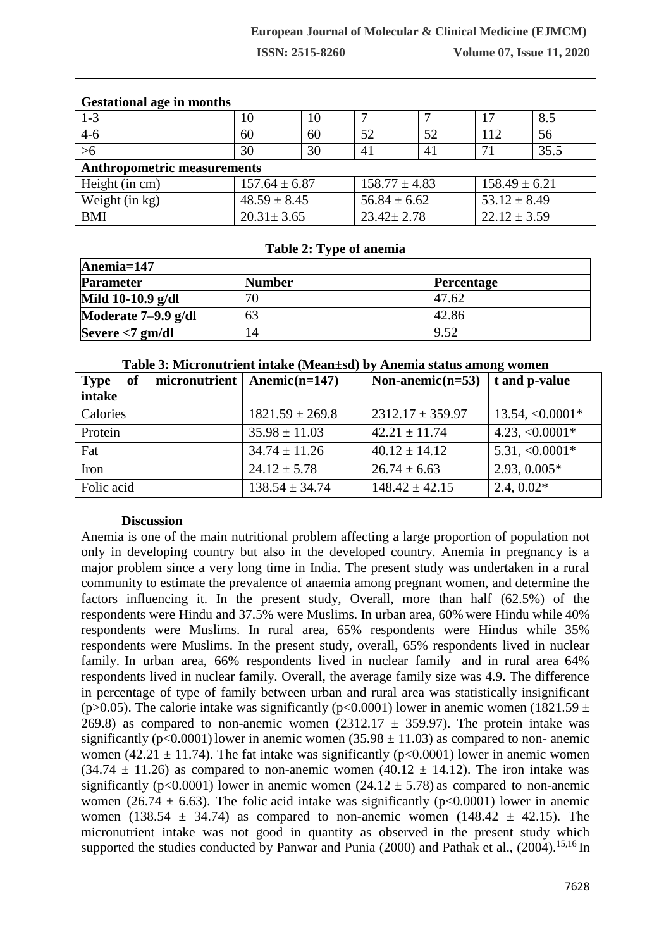## **European Journal of Molecular & Clinical Medicine (EJMCM)**

**ISSN: 2515-8260 Volume 07, Issue 11, 2020**

| <b>Gestational age in months</b>   |                   |    |                   |    |                   |      |
|------------------------------------|-------------------|----|-------------------|----|-------------------|------|
| $1 - 3$                            | 10                | 10 |                   |    | 17                | 8.5  |
| $4 - 6$                            | 60                | 60 | 52                | 52 | 112               | 56   |
| $>6$                               | 30                | 30 | 41                | 41 | 71                | 35.5 |
| <b>Anthropometric measurements</b> |                   |    |                   |    |                   |      |
| Height (in cm)                     | $157.64 \pm 6.87$ |    | $158.77 \pm 4.83$ |    | $158.49 \pm 6.21$ |      |
| Weight (in kg)                     | $48.59 \pm 8.45$  |    | $56.84 \pm 6.62$  |    | $53.12 \pm 8.49$  |      |
| <b>BMI</b>                         | $20.31 \pm 3.65$  |    | $23.42 \pm 2.78$  |    | $22.12 \pm 3.59$  |      |

### **Table 2: Type of anemia**

| Anemia=147            |               |                   |  |  |
|-----------------------|---------------|-------------------|--|--|
| <b>Parameter</b>      | <b>Number</b> | <b>Percentage</b> |  |  |
| Mild 10-10.9 g/dl     |               | 47.62             |  |  |
| Moderate $7-9.9$ g/dl |               | 42.86             |  |  |
| Severe $<$ 7 gm/dl    | 14            | 9.52              |  |  |

### **Table 3: Micronutrient intake (Mean±sd) by Anemia status among women**

| micronutrient<br>of<br><b>Type</b> | Anemic $(n=147)$    | Non-anemic( $n=53$ )   t and p-value |                   |
|------------------------------------|---------------------|--------------------------------------|-------------------|
| intake                             |                     |                                      |                   |
| Calories                           | $1821.59 \pm 269.8$ | $2312.17 \pm 359.97$                 | $13.54, <0.0001*$ |
| Protein                            | $35.98 \pm 11.03$   | $42.21 \pm 11.74$                    | $4.23, <0.0001*$  |
| Fat                                | $34.74 \pm 11.26$   | $40.12 \pm 14.12$                    | $5.31, <0.0001*$  |
| Iron                               | $24.12 \pm 5.78$    | $26.74 \pm 6.63$                     | $2.93, 0.005*$    |
| Folic acid                         | $138.54 \pm 34.74$  | $148.42 \pm 42.15$                   | $2.4, 0.02*$      |

## **Discussion**

Anemia is one of the main nutritional problem affecting a large proportion of population not only in developing country but also in the developed country. Anemia in pregnancy is a major problem since a very long time in India. The present study was undertaken in a rural community to estimate the prevalence of anaemia among pregnant women, and determine the factors influencing it. In the present study, Overall, more than half (62.5%) of the respondents were Hindu and 37.5% were Muslims. In urban area, 60% were Hindu while 40% respondents were Muslims. In rural area, 65% respondents were Hindus while 35% respondents were Muslims. In the present study, overall, 65% respondents lived in nuclear family. In urban area, 66% respondents lived in nuclear family and in rural area 64% respondents lived in nuclear family. Overall, the average family size was 4.9. The difference in percentage of type of family between urban and rural area was statistically insignificant (p>0.05). The calorie intake was significantly (p<0.0001) lower in anemic women (1821.59  $\pm$ 269.8) as compared to non-anemic women (2312.17  $\pm$  359.97). The protein intake was significantly ( $p < 0.0001$ ) lower in anemic women (35.98  $\pm$  11.03) as compared to non-anemic women (42.21  $\pm$  11.74). The fat intake was significantly (p<0.0001) lower in anemic women  $(34.74 \pm 11.26)$  as compared to non-anemic women  $(40.12 \pm 14.12)$ . The iron intake was significantly (p<0.0001) lower in anemic women (24.12  $\pm$  5.78) as compared to non-anemic women (26.74  $\pm$  6.63). The folic acid intake was significantly (p<0.0001) lower in anemic women (138.54  $\pm$  34.74) as compared to non-anemic women (148.42  $\pm$  42.15). The micronutrient intake was not good in quantity as observed in the present study which supported the studies conducted by Panwar and Punia (2000) and Pathak et al., (2004).<sup>15,16</sup> In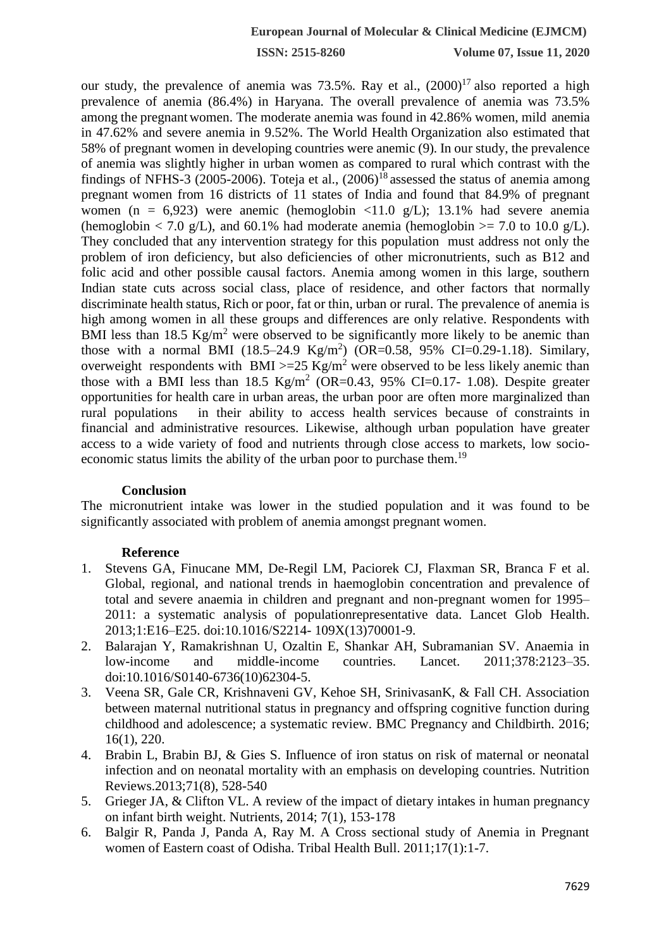**ISSN: 2515-8260 Volume 07, Issue 11, 2020**

our study, the prevalence of anemia was  $73.5\%$ . Ray et al.,  $(2000)^{17}$  also reported a high prevalence of anemia (86.4%) in Haryana. The overall prevalence of anemia was 73.5% among the pregnantwomen. The moderate anemia was found in 42.86% women, mild anemia in 47.62% and severe anemia in 9.52%. The World Health Organization also estimated that 58% of pregnant women in developing countries were anemic (9). In our study, the prevalence of anemia was slightly higher in urban women as compared to rural which contrast with the findings of NFHS-3 (2005-2006). Toteja et al.,  $(2006)^{18}$  assessed the status of anemia among pregnant women from 16 districts of 11 states of India and found that 84.9% of pregnant women (n = 6,923) were anemic (hemoglobin <11.0 g/L); 13.1% had severe anemia (hemoglobin  $\langle 7.0 \text{ g/L} \rangle$ , and 60.1% had moderate anemia (hemoglobin  $\langle 7.0 \text{ to } 10.0 \text{ g/L} \rangle$ . They concluded that any intervention strategy for this population must address not only the problem of iron deficiency, but also deficiencies of other micronutrients, such as B12 and folic acid and other possible causal factors. Anemia among women in this large, southern Indian state cuts across social class, place of residence, and other factors that normally discriminate health status, Rich or poor, fat or thin, urban or rural. The prevalence of anemia is high among women in all these groups and differences are only relative. Respondents with BMI less than 18.5  $Kg/m^2$  were observed to be significantly more likely to be anemic than those with a normal BMI  $(18.5-24.9 \text{ Kg/m}^2)$   $(OR=0.58, 95\% \text{ CI}=0.29-1.18)$ . Similary, overweight respondents with BMI  $>=25 \text{ Kg/m}^2$  were observed to be less likely anemic than those with a BMI less than  $18.5 \text{ Kg/m}^2$  (OR=0.43, 95% CI=0.17- 1.08). Despite greater opportunities for health care in urban areas, the urban poor are often more marginalized than rural populations in their ability to access health services because of constraints in financial and administrative resources. Likewise, although urban population have greater access to a wide variety of food and nutrients through close access to markets, low socioeconomic status limits the ability of the urban poor to purchase them.<sup>19</sup>

### **Conclusion**

The micronutrient intake was lower in the studied population and it was found to be significantly associated with problem of anemia amongst pregnant women.

### **Reference**

- 1. Stevens GA, Finucane MM, De-Regil LM, Paciorek CJ, Flaxman SR, Branca F et al. Global, regional, and national trends in haemoglobin concentration and prevalence of total and severe anaemia in children and pregnant and non-pregnant women for 1995– 2011: a systematic analysis of populationrepresentative data. Lancet Glob Health. 2013;1:E16–E25. doi:10.1016/S2214- 109X(13)70001-9.
- 2. Balarajan Y, Ramakrishnan U, Ozaltin E, Shankar AH, Subramanian SV. Anaemia in low-income and middle-income countries. Lancet. 2011;378:2123–35. doi:10.1016/S0140-6736(10)62304-5.
- 3. Veena SR, Gale CR, Krishnaveni GV, Kehoe SH, SrinivasanK, & Fall CH. Association between maternal nutritional status in pregnancy and offspring cognitive function during childhood and adolescence; a systematic review. BMC Pregnancy and Childbirth. 2016; 16(1), 220.
- 4. Brabin L, Brabin BJ, & Gies S. Influence of iron status on risk of maternal or neonatal infection and on neonatal mortality with an emphasis on developing countries. Nutrition Reviews.2013;71(8), 528-540
- 5. Grieger JA, & Clifton VL. A review of the impact of dietary intakes in human pregnancy on infant birth weight. Nutrients, 2014; 7(1), 153-178
- 6. Balgir R, Panda J, Panda A, Ray M. A Cross sectional study of Anemia in Pregnant women of Eastern coast of Odisha. Tribal Health Bull. 2011;17(1):1-7.